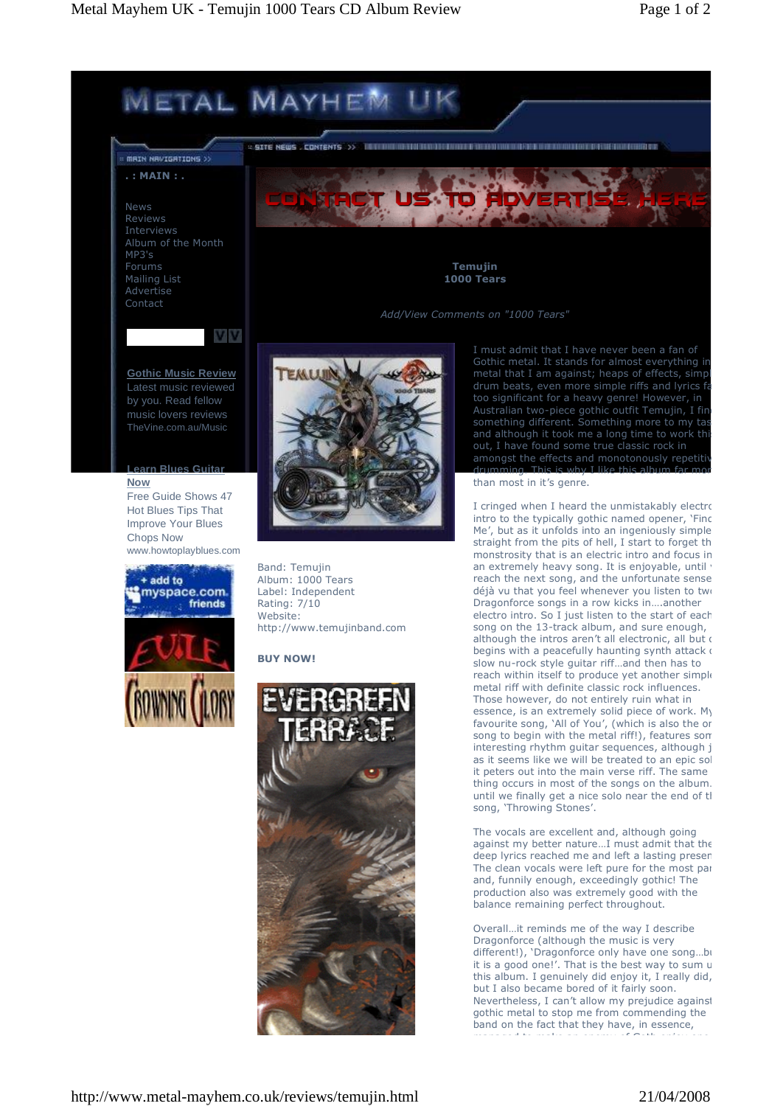

gothic metal to stop me from commending the band on the fact that they have, in essence, managed to make an enemy of Goth enjoy one of